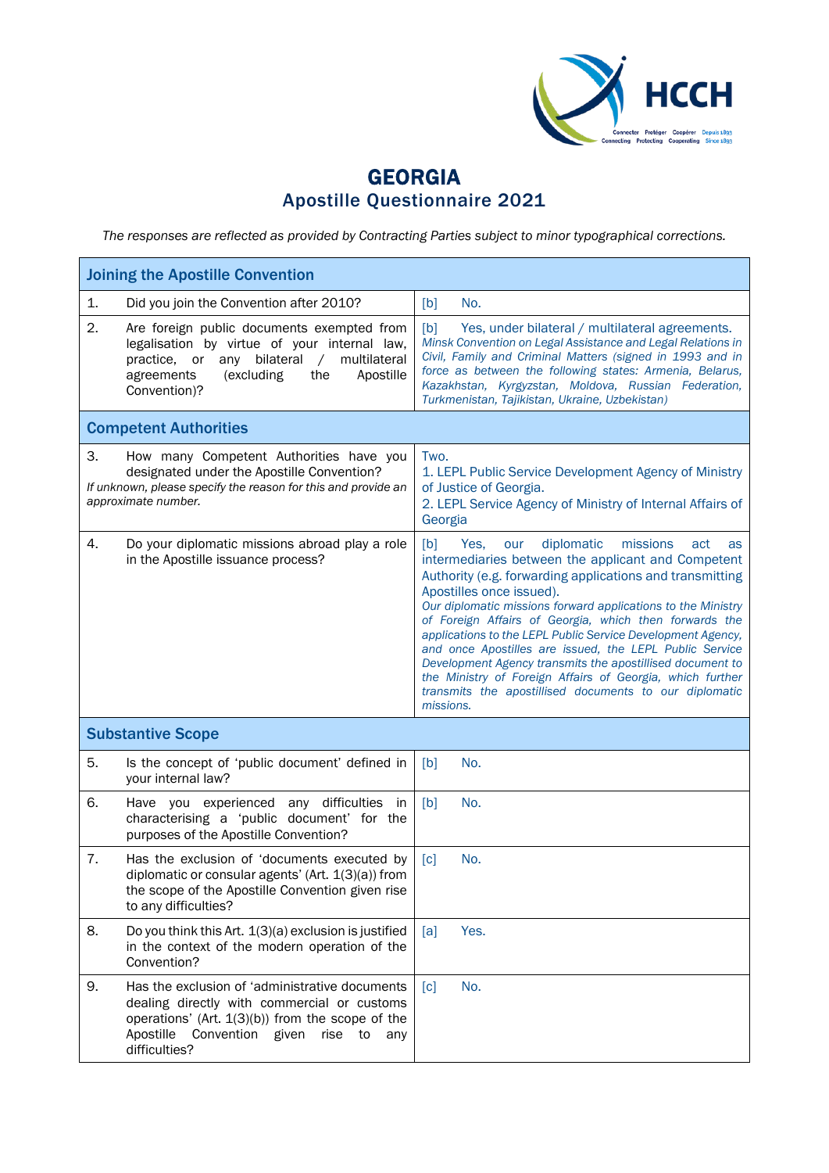

## GEORGIA Apostille Questionnaire 2021

*The responses are reflected as provided by Contracting Parties subject to minor typographical corrections.*

| <b>Joining the Apostille Convention</b> |                                                                                                                                                                                                                              |                                                                                                                                                                                                                                                                                                                                                                                                                                                                                                                                                                                                                                                              |  |  |
|-----------------------------------------|------------------------------------------------------------------------------------------------------------------------------------------------------------------------------------------------------------------------------|--------------------------------------------------------------------------------------------------------------------------------------------------------------------------------------------------------------------------------------------------------------------------------------------------------------------------------------------------------------------------------------------------------------------------------------------------------------------------------------------------------------------------------------------------------------------------------------------------------------------------------------------------------------|--|--|
| 1.                                      | Did you join the Convention after 2010?                                                                                                                                                                                      | [b]<br>No.                                                                                                                                                                                                                                                                                                                                                                                                                                                                                                                                                                                                                                                   |  |  |
| 2.                                      | Are foreign public documents exempted from<br>legalisation by virtue of your internal law,<br>multilateral<br>bilateral<br>practice, or<br>any<br>$\sqrt{2}$<br>Apostille<br>agreements<br>(excluding<br>the<br>Convention)? | [b]<br>Yes, under bilateral / multilateral agreements.<br>Minsk Convention on Legal Assistance and Legal Relations in<br>Civil, Family and Criminal Matters (signed in 1993 and in<br>force as between the following states: Armenia, Belarus,<br>Kazakhstan, Kyrgyzstan, Moldova, Russian Federation,<br>Turkmenistan, Tajikistan, Ukraine, Uzbekistan)                                                                                                                                                                                                                                                                                                     |  |  |
|                                         | <b>Competent Authorities</b>                                                                                                                                                                                                 |                                                                                                                                                                                                                                                                                                                                                                                                                                                                                                                                                                                                                                                              |  |  |
| 3.                                      | How many Competent Authorities have you<br>designated under the Apostille Convention?<br>If unknown, please specify the reason for this and provide an<br>approximate number.                                                | Two.<br>1. LEPL Public Service Development Agency of Ministry<br>of Justice of Georgia.<br>2. LEPL Service Agency of Ministry of Internal Affairs of<br>Georgia                                                                                                                                                                                                                                                                                                                                                                                                                                                                                              |  |  |
| 4.                                      | Do your diplomatic missions abroad play a role<br>in the Apostille issuance process?                                                                                                                                         | diplomatic<br>missions<br>[b]<br>Yes.<br>our<br>act<br>as<br>intermediaries between the applicant and Competent<br>Authority (e.g. forwarding applications and transmitting<br>Apostilles once issued).<br>Our diplomatic missions forward applications to the Ministry<br>of Foreign Affairs of Georgia, which then forwards the<br>applications to the LEPL Public Service Development Agency,<br>and once Apostilles are issued, the LEPL Public Service<br>Development Agency transmits the apostillised document to<br>the Ministry of Foreign Affairs of Georgia, which further<br>transmits the apostillised documents to our diplomatic<br>missions. |  |  |
|                                         | <b>Substantive Scope</b>                                                                                                                                                                                                     |                                                                                                                                                                                                                                                                                                                                                                                                                                                                                                                                                                                                                                                              |  |  |
| 5.                                      | Is the concept of 'public document' defined in<br>your internal law?                                                                                                                                                         | [b]<br>No.                                                                                                                                                                                                                                                                                                                                                                                                                                                                                                                                                                                                                                                   |  |  |
| 6.                                      | Have you experienced any difficulties in<br>characterising a 'public document' for the<br>purposes of the Apostille Convention?                                                                                              | [b]<br>No.                                                                                                                                                                                                                                                                                                                                                                                                                                                                                                                                                                                                                                                   |  |  |
| 7.                                      | Has the exclusion of 'documents executed by<br>diplomatic or consular agents' (Art. 1(3)(a)) from<br>the scope of the Apostille Convention given rise<br>to any difficulties?                                                | [c]<br>No.                                                                                                                                                                                                                                                                                                                                                                                                                                                                                                                                                                                                                                                   |  |  |
| 8.                                      | Do you think this Art. 1(3)(a) exclusion is justified<br>in the context of the modern operation of the<br>Convention?                                                                                                        | Yes.<br>[a]                                                                                                                                                                                                                                                                                                                                                                                                                                                                                                                                                                                                                                                  |  |  |
| 9.                                      | Has the exclusion of 'administrative documents<br>dealing directly with commercial or customs<br>operations' (Art. $1(3)(b)$ ) from the scope of the<br>Apostille<br>Convention given<br>rise<br>to<br>any<br>difficulties?  | No.<br>$\lceil c \rceil$                                                                                                                                                                                                                                                                                                                                                                                                                                                                                                                                                                                                                                     |  |  |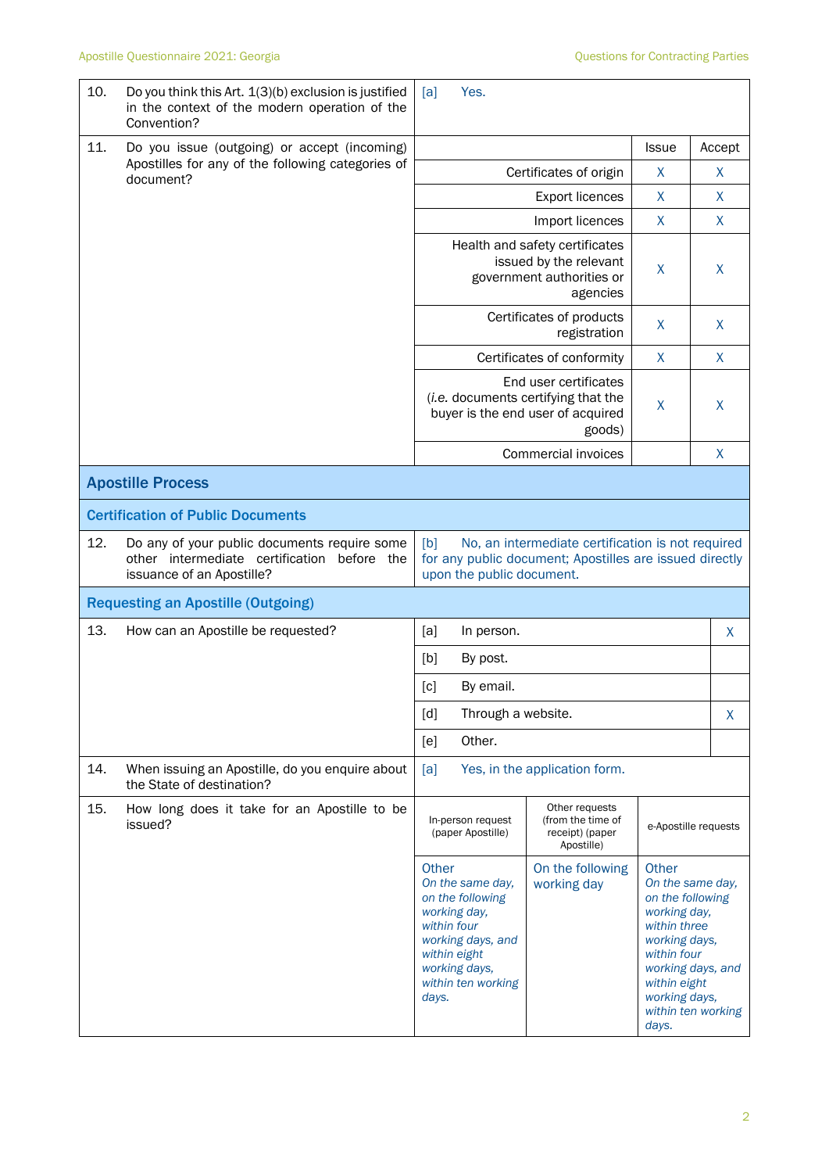| 10. | Do you think this Art. 1(3)(b) exclusion is justified<br>in the context of the modern operation of the<br>Convention?    | [a]                                                                                                                                                                                                         | Yes.                                                                                                        |                                                                                                              |                                                                                                                                     |                                                             |
|-----|--------------------------------------------------------------------------------------------------------------------------|-------------------------------------------------------------------------------------------------------------------------------------------------------------------------------------------------------------|-------------------------------------------------------------------------------------------------------------|--------------------------------------------------------------------------------------------------------------|-------------------------------------------------------------------------------------------------------------------------------------|-------------------------------------------------------------|
| 11. | Do you issue (outgoing) or accept (incoming)                                                                             |                                                                                                                                                                                                             |                                                                                                             |                                                                                                              |                                                                                                                                     | Accept                                                      |
|     | Apostilles for any of the following categories of<br>document?                                                           |                                                                                                                                                                                                             | Certificates of origin                                                                                      | X                                                                                                            | X                                                                                                                                   |                                                             |
|     |                                                                                                                          | <b>Export licences</b><br>$\mathsf{X}$                                                                                                                                                                      |                                                                                                             |                                                                                                              |                                                                                                                                     |                                                             |
|     |                                                                                                                          | X<br>Import licences                                                                                                                                                                                        |                                                                                                             |                                                                                                              |                                                                                                                                     |                                                             |
|     |                                                                                                                          |                                                                                                                                                                                                             | Health and safety certificates<br>issued by the relevant<br>government authorities or<br>agencies           |                                                                                                              |                                                                                                                                     | X                                                           |
|     |                                                                                                                          |                                                                                                                                                                                                             | Certificates of products<br>registration                                                                    |                                                                                                              |                                                                                                                                     | X                                                           |
|     |                                                                                                                          |                                                                                                                                                                                                             |                                                                                                             | Certificates of conformity                                                                                   | X                                                                                                                                   | X                                                           |
|     |                                                                                                                          |                                                                                                                                                                                                             | End user certificates<br>(i.e. documents certifying that the<br>buyer is the end user of acquired<br>goods) |                                                                                                              |                                                                                                                                     | X                                                           |
|     |                                                                                                                          |                                                                                                                                                                                                             |                                                                                                             | Commercial invoices                                                                                          |                                                                                                                                     | X                                                           |
|     | <b>Apostille Process</b>                                                                                                 |                                                                                                                                                                                                             |                                                                                                             |                                                                                                              |                                                                                                                                     |                                                             |
|     | <b>Certification of Public Documents</b>                                                                                 |                                                                                                                                                                                                             |                                                                                                             |                                                                                                              |                                                                                                                                     |                                                             |
| 12. | Do any of your public documents require some<br>other intermediate certification before the<br>issuance of an Apostille? | [b]                                                                                                                                                                                                         | upon the public document.                                                                                   | No, an intermediate certification is not required<br>for any public document; Apostilles are issued directly |                                                                                                                                     |                                                             |
|     | <b>Requesting an Apostille (Outgoing)</b>                                                                                |                                                                                                                                                                                                             |                                                                                                             |                                                                                                              |                                                                                                                                     |                                                             |
| 13. | How can an Apostille be requested?                                                                                       | [a]                                                                                                                                                                                                         | In person.                                                                                                  |                                                                                                              |                                                                                                                                     | X                                                           |
|     |                                                                                                                          | [b]                                                                                                                                                                                                         | By post.                                                                                                    |                                                                                                              |                                                                                                                                     |                                                             |
|     |                                                                                                                          | [c]<br>By email.                                                                                                                                                                                            |                                                                                                             |                                                                                                              |                                                                                                                                     |                                                             |
|     |                                                                                                                          | [d]<br>Through a website.                                                                                                                                                                                   |                                                                                                             |                                                                                                              |                                                                                                                                     | X                                                           |
|     |                                                                                                                          | [e]                                                                                                                                                                                                         | Other.                                                                                                      |                                                                                                              |                                                                                                                                     |                                                             |
| 14. | When issuing an Apostille, do you enquire about<br>the State of destination?                                             | [a]                                                                                                                                                                                                         |                                                                                                             | Yes, in the application form.                                                                                |                                                                                                                                     |                                                             |
| 15. | How long does it take for an Apostille to be<br>issued?                                                                  | In-person request<br>(paper Apostille)<br>Other<br>On the same day,<br>on the following<br>working day,<br>within four<br>working days, and<br>within eight<br>working days,<br>within ten working<br>days. |                                                                                                             | Other requests<br>(from the time of<br>receipt) (paper<br>Apostille)                                         | e-Apostille requests                                                                                                                |                                                             |
|     |                                                                                                                          |                                                                                                                                                                                                             |                                                                                                             | On the following<br>working day                                                                              | Other<br>on the following<br>working day,<br>within three<br>working days,<br>within four<br>within eight<br>working days,<br>days. | On the same day,<br>working days, and<br>within ten working |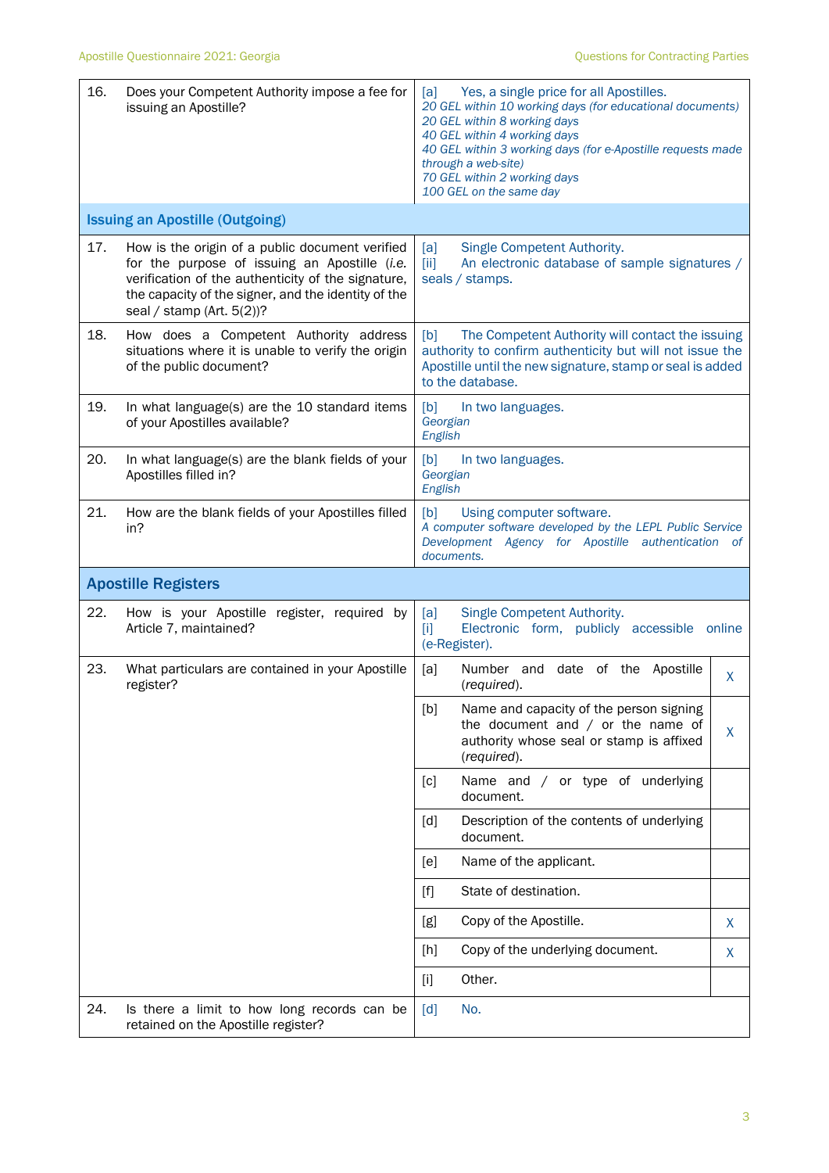| 16.                        | Does your Competent Authority impose a fee for<br>issuing an Apostille?                                                                                                                                                                       | Yes, a single price for all Apostilles.<br>[a]<br>20 GEL within 10 working days (for educational documents)<br>20 GEL within 8 working days<br>40 GEL within 4 working days<br>40 GEL within 3 working days (for e-Apostille requests made<br>through a web-site)<br>70 GEL within 2 working days<br>100 GEL on the same day |        |  |  |
|----------------------------|-----------------------------------------------------------------------------------------------------------------------------------------------------------------------------------------------------------------------------------------------|------------------------------------------------------------------------------------------------------------------------------------------------------------------------------------------------------------------------------------------------------------------------------------------------------------------------------|--------|--|--|
|                            | <b>Issuing an Apostille (Outgoing)</b>                                                                                                                                                                                                        |                                                                                                                                                                                                                                                                                                                              |        |  |  |
| 17.                        | How is the origin of a public document verified<br>for the purpose of issuing an Apostille (i.e.<br>verification of the authenticity of the signature,<br>the capacity of the signer, and the identity of the<br>seal / stamp (Art. $5(2)$ )? | Single Competent Authority.<br>[a]<br>$\left[\right]$<br>An electronic database of sample signatures /<br>seals / stamps.                                                                                                                                                                                                    |        |  |  |
| 18.                        | How does a Competent Authority address<br>situations where it is unable to verify the origin<br>of the public document?                                                                                                                       | The Competent Authority will contact the issuing<br>[b]<br>authority to confirm authenticity but will not issue the<br>Apostille until the new signature, stamp or seal is added<br>to the database.                                                                                                                         |        |  |  |
| 19.                        | In what language(s) are the 10 standard items<br>of your Apostilles available?                                                                                                                                                                | [b]<br>In two languages.<br>Georgian<br>English                                                                                                                                                                                                                                                                              |        |  |  |
| 20.                        | In what language(s) are the blank fields of your<br>Apostilles filled in?                                                                                                                                                                     | [b]<br>In two languages.<br>Georgian<br>English                                                                                                                                                                                                                                                                              |        |  |  |
| 21.                        | How are the blank fields of your Apostilles filled<br>in?                                                                                                                                                                                     | [b]<br>Using computer software.<br>A computer software developed by the LEPL Public Service<br>Development Agency for Apostille authentication<br>- of<br>documents.                                                                                                                                                         |        |  |  |
| <b>Apostille Registers</b> |                                                                                                                                                                                                                                               |                                                                                                                                                                                                                                                                                                                              |        |  |  |
| 22.                        | How is your Apostille register, required by<br>Article 7, maintained?                                                                                                                                                                         | Single Competent Authority.<br>[a]<br>Electronic form, publicly accessible<br>$[1]$<br>(e-Register).                                                                                                                                                                                                                         | online |  |  |
| 23.                        | What particulars are contained in your Apostille<br>register?                                                                                                                                                                                 | date of the<br>[a]<br>Number and<br>Apostille<br>(required).                                                                                                                                                                                                                                                                 | X.     |  |  |
|                            |                                                                                                                                                                                                                                               | [b]<br>Name and capacity of the person signing<br>the document and $/$ or the name of<br>authority whose seal or stamp is affixed<br>(required).                                                                                                                                                                             | X.     |  |  |
|                            |                                                                                                                                                                                                                                               | Name and / or type of underlying<br>[c]<br>document.                                                                                                                                                                                                                                                                         |        |  |  |
|                            |                                                                                                                                                                                                                                               | [d]<br>Description of the contents of underlying<br>document.                                                                                                                                                                                                                                                                |        |  |  |
|                            |                                                                                                                                                                                                                                               | Name of the applicant.<br>[e]                                                                                                                                                                                                                                                                                                |        |  |  |
|                            |                                                                                                                                                                                                                                               | State of destination.<br>$[f]$                                                                                                                                                                                                                                                                                               |        |  |  |
|                            |                                                                                                                                                                                                                                               | Copy of the Apostille.<br>[g]                                                                                                                                                                                                                                                                                                | X.     |  |  |
|                            |                                                                                                                                                                                                                                               | Copy of the underlying document.<br>[h]                                                                                                                                                                                                                                                                                      | X      |  |  |
|                            |                                                                                                                                                                                                                                               | Other.<br>$[1]$                                                                                                                                                                                                                                                                                                              |        |  |  |
| 24.                        | Is there a limit to how long records can be<br>retained on the Apostille register?                                                                                                                                                            | No.<br>$\lceil d \rceil$                                                                                                                                                                                                                                                                                                     |        |  |  |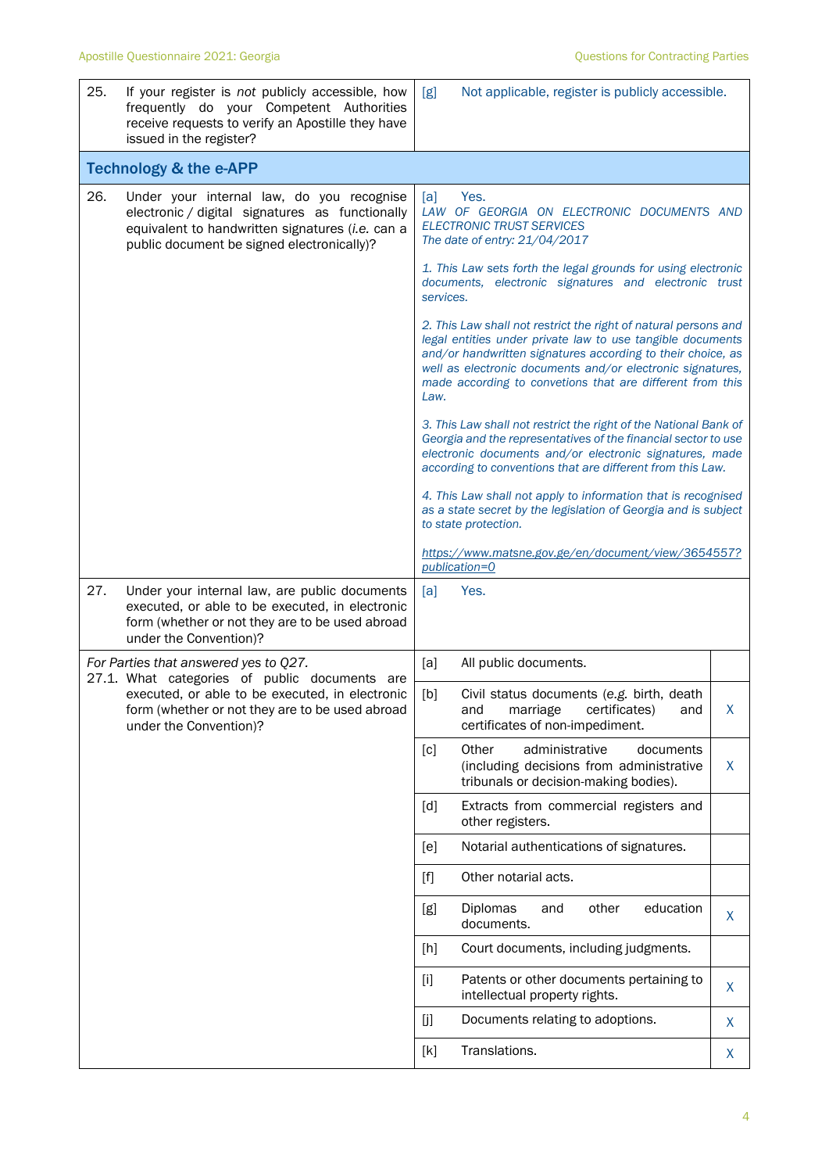| 25. | If your register is not publicly accessible, how<br>frequently do your Competent Authorities<br>receive requests to verify an Apostille they have<br>issued in the register?                   | Not applicable, register is publicly accessible.<br>[g]                                                                                                                                                                                                                                                                         |         |  |  |
|-----|------------------------------------------------------------------------------------------------------------------------------------------------------------------------------------------------|---------------------------------------------------------------------------------------------------------------------------------------------------------------------------------------------------------------------------------------------------------------------------------------------------------------------------------|---------|--|--|
|     | <b>Technology &amp; the e-APP</b>                                                                                                                                                              |                                                                                                                                                                                                                                                                                                                                 |         |  |  |
| 26. | Under your internal law, do you recognise<br>electronic / digital signatures as functionally<br>equivalent to handwritten signatures (i.e. can a<br>public document be signed electronically)? | [a]<br>Yes.<br>LAW OF GEORGIA ON ELECTRONIC DOCUMENTS AND<br><b>ELECTRONIC TRUST SERVICES</b><br>The date of entry: 21/04/2017                                                                                                                                                                                                  |         |  |  |
|     |                                                                                                                                                                                                | 1. This Law sets forth the legal grounds for using electronic<br>documents, electronic signatures and electronic trust<br>services.                                                                                                                                                                                             |         |  |  |
|     |                                                                                                                                                                                                | 2. This Law shall not restrict the right of natural persons and<br>legal entities under private law to use tangible documents<br>and/or handwritten signatures according to their choice, as<br>well as electronic documents and/or electronic signatures,<br>made according to convetions that are different from this<br>Law. |         |  |  |
|     |                                                                                                                                                                                                | 3. This Law shall not restrict the right of the National Bank of<br>Georgia and the representatives of the financial sector to use<br>electronic documents and/or electronic signatures, made<br>according to conventions that are different from this Law.                                                                     |         |  |  |
|     |                                                                                                                                                                                                | 4. This Law shall not apply to information that is recognised<br>as a state secret by the legislation of Georgia and is subject<br>to state protection.                                                                                                                                                                         |         |  |  |
|     |                                                                                                                                                                                                | https://www.matsne.gov.ge/en/document/view/3654557?<br>publication=0                                                                                                                                                                                                                                                            |         |  |  |
| 27. | Under your internal law, are public documents<br>executed, or able to be executed, in electronic<br>form (whether or not they are to be used abroad<br>under the Convention)?                  | [a]<br>Yes.                                                                                                                                                                                                                                                                                                                     |         |  |  |
|     | For Parties that answered yes to Q27.<br>27.1. What categories of public documents are                                                                                                         | All public documents.<br>[a]                                                                                                                                                                                                                                                                                                    |         |  |  |
|     | executed, or able to be executed, in electronic<br>form (whether or not they are to be used abroad<br>under the Convention)?                                                                   | Civil status documents (e.g. birth, death<br>[b]<br>marriage<br>certificates)<br>and<br>and<br>certificates of non-impediment.                                                                                                                                                                                                  | X       |  |  |
|     |                                                                                                                                                                                                | administrative<br>[c]<br>Other<br>documents<br>(including decisions from administrative<br>tribunals or decision-making bodies).                                                                                                                                                                                                | X       |  |  |
|     |                                                                                                                                                                                                | Extracts from commercial registers and<br>[d]<br>other registers.                                                                                                                                                                                                                                                               |         |  |  |
|     |                                                                                                                                                                                                | Notarial authentications of signatures.<br>[e]                                                                                                                                                                                                                                                                                  |         |  |  |
|     |                                                                                                                                                                                                | Other notarial acts.<br>$[f]$                                                                                                                                                                                                                                                                                                   |         |  |  |
|     |                                                                                                                                                                                                | Diplomas<br>education<br>[g]<br>other<br>and<br>documents.                                                                                                                                                                                                                                                                      | X       |  |  |
|     |                                                                                                                                                                                                | Court documents, including judgments.<br>[h]                                                                                                                                                                                                                                                                                    |         |  |  |
|     |                                                                                                                                                                                                | Patents or other documents pertaining to<br>$[1]$<br>intellectual property rights.                                                                                                                                                                                                                                              | $\sf X$ |  |  |
|     |                                                                                                                                                                                                | Documents relating to adoptions.<br>[j]                                                                                                                                                                                                                                                                                         | X       |  |  |
|     |                                                                                                                                                                                                | Translations.<br>[k]                                                                                                                                                                                                                                                                                                            | X       |  |  |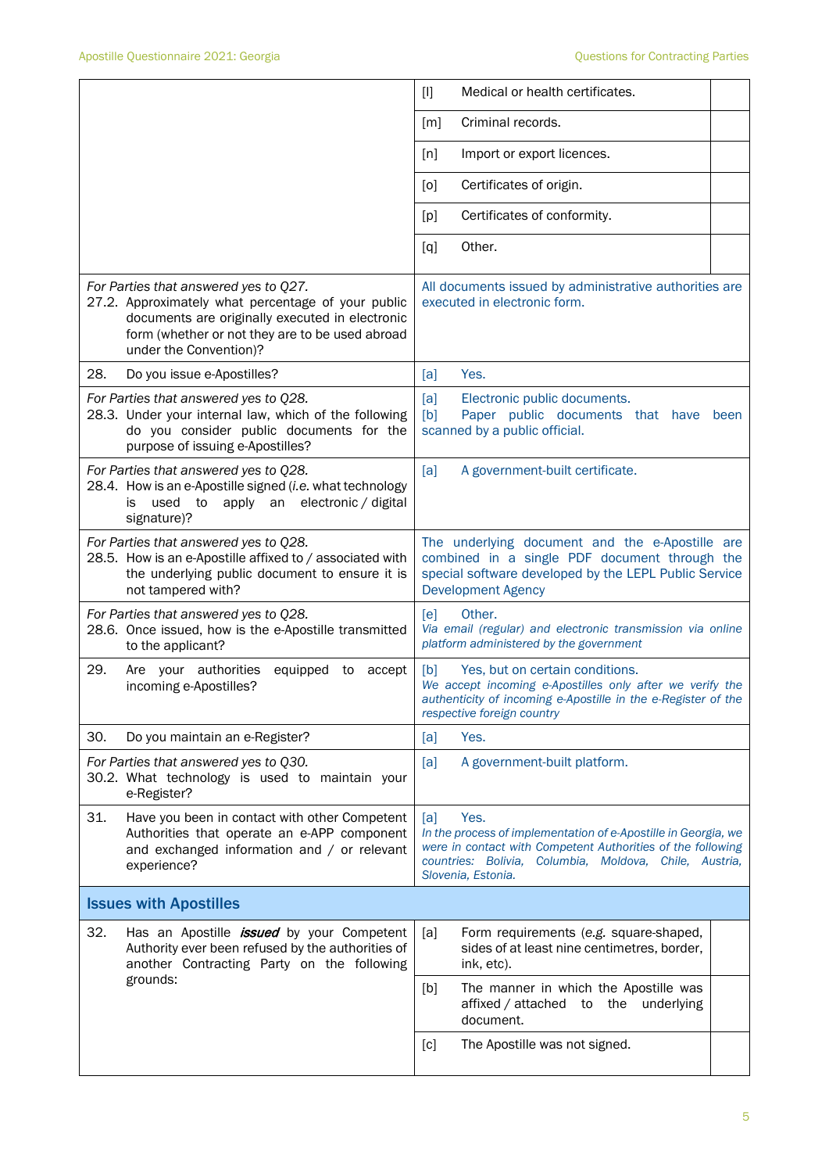|                                                                                                                                                                                                                             | Medical or health certificates.<br>$[1]$                                                                                                                                                                                     |  |  |
|-----------------------------------------------------------------------------------------------------------------------------------------------------------------------------------------------------------------------------|------------------------------------------------------------------------------------------------------------------------------------------------------------------------------------------------------------------------------|--|--|
|                                                                                                                                                                                                                             | Criminal records.<br>[m]                                                                                                                                                                                                     |  |  |
|                                                                                                                                                                                                                             | Import or export licences.<br>[n]                                                                                                                                                                                            |  |  |
|                                                                                                                                                                                                                             | Certificates of origin.<br>[0]                                                                                                                                                                                               |  |  |
|                                                                                                                                                                                                                             | Certificates of conformity.<br>[p]                                                                                                                                                                                           |  |  |
|                                                                                                                                                                                                                             | Other.<br>[q]                                                                                                                                                                                                                |  |  |
| For Parties that answered yes to Q27.<br>27.2. Approximately what percentage of your public<br>documents are originally executed in electronic<br>form (whether or not they are to be used abroad<br>under the Convention)? | All documents issued by administrative authorities are<br>executed in electronic form.                                                                                                                                       |  |  |
| 28.<br>Do you issue e-Apostilles?                                                                                                                                                                                           | Yes.<br>[a]                                                                                                                                                                                                                  |  |  |
| For Parties that answered yes to Q28.<br>28.3. Under your internal law, which of the following<br>do you consider public documents for the<br>purpose of issuing e-Apostilles?                                              | [a]<br>Electronic public documents.<br>[b]<br>Paper public documents that have<br>been<br>scanned by a public official.                                                                                                      |  |  |
| For Parties that answered yes to Q28.<br>28.4. How is an e-Apostille signed (i.e. what technology<br>apply an electronic / digital<br>used<br>to<br>is<br>signature)?                                                       | [a]<br>A government-built certificate.                                                                                                                                                                                       |  |  |
| For Parties that answered yes to Q28.<br>28.5. How is an e-Apostille affixed to / associated with<br>the underlying public document to ensure it is<br>not tampered with?                                                   | The underlying document and the e-Apostille are<br>combined in a single PDF document through the<br>special software developed by the LEPL Public Service<br><b>Development Agency</b>                                       |  |  |
| For Parties that answered yes to Q28.<br>28.6. Once issued, how is the e-Apostille transmitted<br>to the applicant?                                                                                                         | Other.<br>[e]<br>Via email (regular) and electronic transmission via online<br>platform administered by the government                                                                                                       |  |  |
| 29.<br>Are your authorities<br>equipped to accept<br>incoming e-Apostilles?                                                                                                                                                 | [b]<br>Yes, but on certain conditions.<br>We accept incoming e-Apostilles only after we verify the<br>authenticity of incoming e-Apostille in the e-Register of the<br>respective foreign country                            |  |  |
| 30.<br>Do you maintain an e-Register?                                                                                                                                                                                       | Yes.<br>[a]                                                                                                                                                                                                                  |  |  |
| For Parties that answered yes to Q30.<br>30.2. What technology is used to maintain your<br>e-Register?                                                                                                                      | A government-built platform.<br>[a]                                                                                                                                                                                          |  |  |
| 31.<br>Have you been in contact with other Competent<br>Authorities that operate an e-APP component<br>and exchanged information and / or relevant<br>experience?                                                           | Yes.<br>[a]<br>In the process of implementation of e-Apostille in Georgia, we<br>were in contact with Competent Authorities of the following<br>countries: Bolivia, Columbia, Moldova, Chile, Austria,<br>Slovenia, Estonia. |  |  |
| <b>Issues with Apostilles</b>                                                                                                                                                                                               |                                                                                                                                                                                                                              |  |  |
| 32.<br>Has an Apostille <i>issued</i> by your Competent<br>Authority ever been refused by the authorities of<br>another Contracting Party on the following                                                                  | [a]<br>Form requirements (e.g. square-shaped,<br>sides of at least nine centimetres, border,<br>ink, etc).                                                                                                                   |  |  |
| grounds:                                                                                                                                                                                                                    | The manner in which the Apostille was<br>[b]<br>affixed / attached to<br>the underlying<br>document.                                                                                                                         |  |  |
|                                                                                                                                                                                                                             | The Apostille was not signed.<br>[c]                                                                                                                                                                                         |  |  |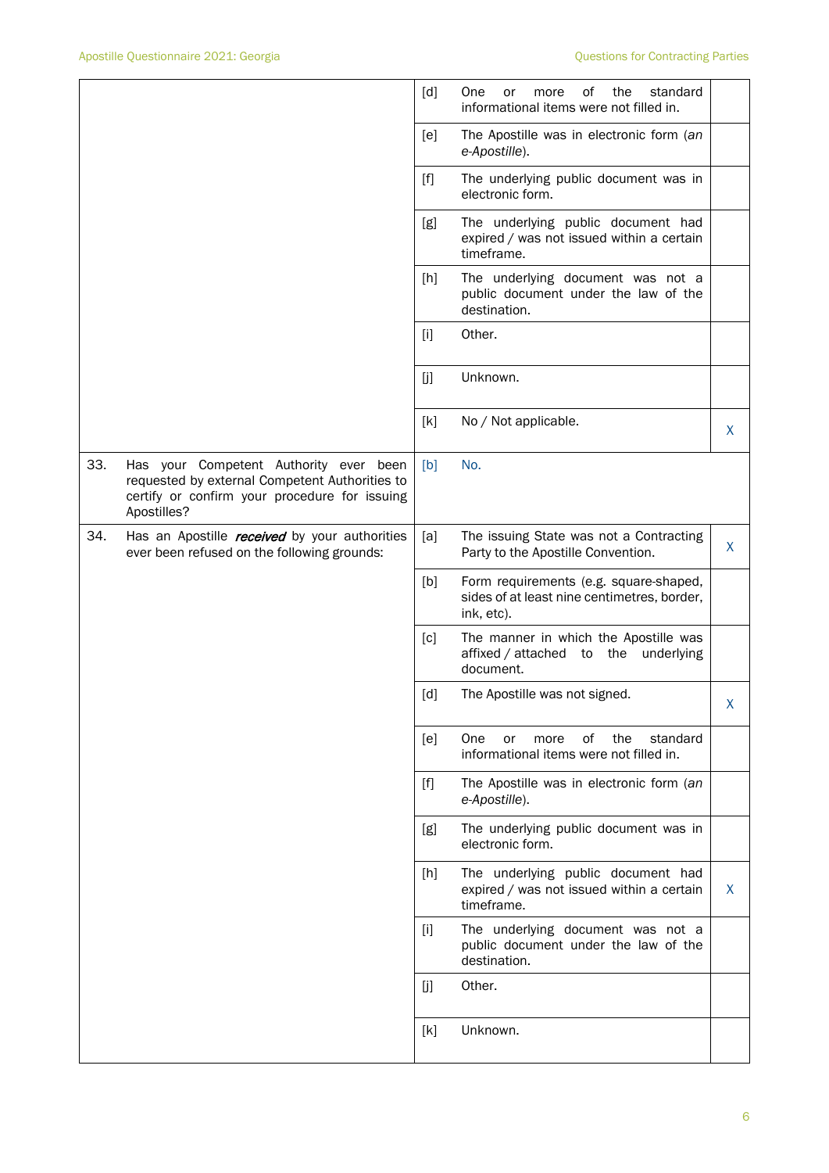|     |                                                                                                                                                          | [d]               | οf<br>the<br>One<br>standard<br>or<br>more<br>informational items were not filled in.               |   |
|-----|----------------------------------------------------------------------------------------------------------------------------------------------------------|-------------------|-----------------------------------------------------------------------------------------------------|---|
|     |                                                                                                                                                          | [e]               | The Apostille was in electronic form (an<br>e-Apostille).                                           |   |
|     |                                                                                                                                                          | $[f]$             | The underlying public document was in<br>electronic form.                                           |   |
|     |                                                                                                                                                          | [g]               | The underlying public document had<br>expired / was not issued within a certain<br>timeframe.       |   |
|     |                                                                                                                                                          | [h]               | The underlying document was not a<br>public document under the law of the<br>destination.           |   |
|     |                                                                                                                                                          | $[1]$             | Other.                                                                                              |   |
|     |                                                                                                                                                          | [j]               | Unknown.                                                                                            |   |
|     |                                                                                                                                                          | [k]               | No / Not applicable.                                                                                | X |
| 33. | Has your Competent Authority ever been<br>requested by external Competent Authorities to<br>certify or confirm your procedure for issuing<br>Apostilles? | [b]               | No.                                                                                                 |   |
| 34. | Has an Apostille <i>received</i> by your authorities<br>ever been refused on the following grounds:                                                      | [a]               | The issuing State was not a Contracting<br>Party to the Apostille Convention.                       | X |
|     |                                                                                                                                                          | [b]               | Form requirements (e.g. square-shaped,<br>sides of at least nine centimetres, border,<br>ink, etc). |   |
|     |                                                                                                                                                          | [c]               | The manner in which the Apostille was<br>affixed / attached to the underlying<br>document.          |   |
|     |                                                                                                                                                          | $\lceil d \rceil$ | The Apostille was not signed.                                                                       | X |
|     |                                                                                                                                                          | [e]               | of<br>the<br>standard<br>One<br>or<br>more<br>informational items were not filled in.               |   |
|     |                                                                                                                                                          | $[f]$             | The Apostille was in electronic form (an<br>e-Apostille).                                           |   |
|     |                                                                                                                                                          | [g]               | The underlying public document was in<br>electronic form.                                           |   |
|     |                                                                                                                                                          | [h]               | The underlying public document had<br>expired / was not issued within a certain<br>timeframe.       | X |
|     |                                                                                                                                                          | $[1]$             | The underlying document was not a<br>public document under the law of the<br>destination.           |   |
|     |                                                                                                                                                          | [j]               | Other.                                                                                              |   |
|     |                                                                                                                                                          | [k]               | Unknown.                                                                                            |   |